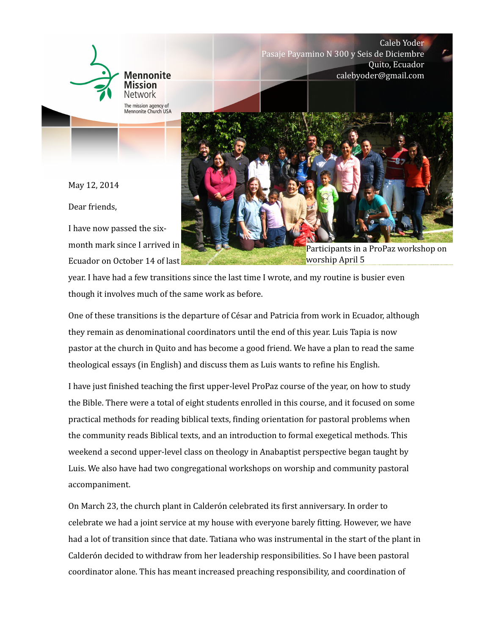

Caleb Yoder Pasaje Payamino N 300 y Seis de Diciembre Quito, Ecuador calebyoder@gmail.com

May 12, 2014

Dear friends,

I have now passed the sixmonth mark since I arrived in Ecuador on October 14 of last



Participants in a ProPaz workshop on worship April 5

year. I have had a few transitions since the last time I wrote, and my routine is busier even though it involves much of the same work as before.

**And the community of the community of the community of the community of the community of the community** 

One of these transitions is the departure of César and Patricia from work in Ecuador, although they remain as denominational coordinators until the end of this year. Luis Tapia is now pastor at the church in Quito and has become a good friend. We have a plan to read the same theological essays (in English) and discuss them as Luis wants to refine his English.

I have just finished teaching the first upper-level ProPaz course of the year, on how to study the Bible. There were a total of eight students enrolled in this course, and it focused on some practical methods for reading biblical texts, finding orientation for pastoral problems when the community reads Biblical texts, and an introduction to formal exegetical methods. This weekend a second upper-level class on theology in Anabaptist perspective began taught by Luis. We also have had two congregational workshops on worship and community pastoral accompaniment.

On March 23, the church plant in Calderón celebrated its first anniversary. In order to celebrate we had a joint service at my house with everyone barely fitting. However, we have had a lot of transition since that date. Tatiana who was instrumental in the start of the plant in Calderón decided to withdraw from her leadership responsibilities. So I have been pastoral coordinator alone. This has meant increased preaching responsibility, and coordination of